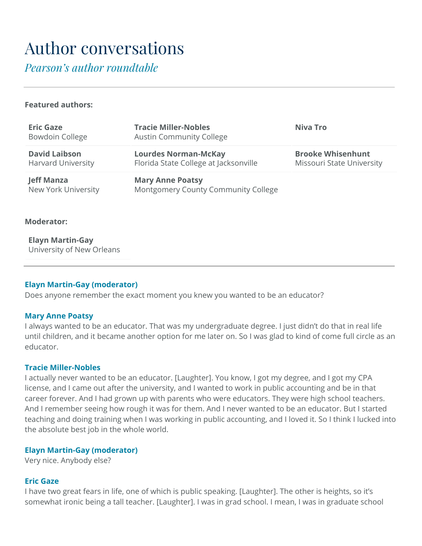# Author conversations

*Pearson's author roundtable*

#### **Featured authors:**

| <b>Eric Gaze</b><br><b>Bowdoin College</b>        | <b>Tracie Miller-Nobles</b><br><b>Austin Community College</b>       | Niva Tro                                              |
|---------------------------------------------------|----------------------------------------------------------------------|-------------------------------------------------------|
| <b>David Laibson</b><br><b>Harvard University</b> | <b>Lourdes Norman-McKay</b><br>Florida State College at Jacksonville | <b>Brooke Whisenhunt</b><br>Missouri State University |
| <b>Jeff Manza</b><br>New York University          | <b>Mary Anne Poatsy</b><br>Montgomery County Community College       |                                                       |

#### **Moderator:**

**Elayn Martin-Gay** University of New Orleans

#### **Elayn Martin-Gay (moderator)**

Does anyone remember the exact moment you knew you wanted to be an educator?

#### **Mary Anne Poatsy**

I always wanted to be an educator. That was my undergraduate degree. I just didn't do that in real life until children, and it became another option for me later on. So I was glad to kind of come full circle as an educator.

#### **Tracie Miller-Nobles**

I actually never wanted to be an educator. [Laughter]. You know, I got my degree, and I got my CPA license, and I came out after the university, and I wanted to work in public accounting and be in that career forever. And I had grown up with parents who were educators. They were high school teachers. And I remember seeing how rough it was for them. And I never wanted to be an educator. But I started teaching and doing training when I was working in public accounting, and I loved it. So I think I lucked into the absolute best job in the whole world.

#### **Elayn Martin-Gay (moderator)**

Very nice. Anybody else?

#### **Eric Gaze**

I have two great fears in life, one of which is public speaking. [Laughter]. The other is heights, so it's somewhat ironic being a tall teacher. [Laughter]. I was in grad school. I mean, I was in graduate school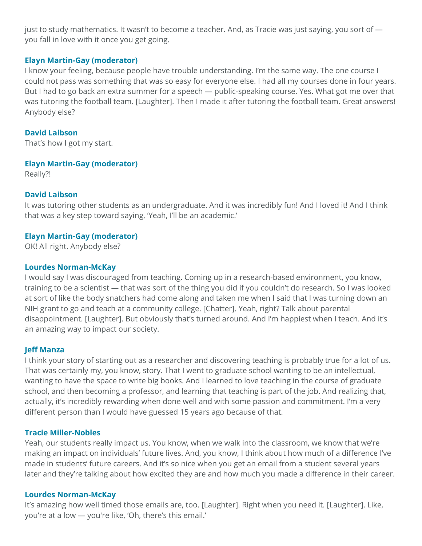just to study mathematics. It wasn't to become a teacher. And, as Tracie was just saying, you sort of you fall in love with it once you get going.

#### **Elayn Martin-Gay (moderator)**

I know your feeling, because people have trouble understanding. I'm the same way. The one course I could not pass was something that was so easy for everyone else. I had all my courses done in four years. But I had to go back an extra summer for a speech — public-speaking course. Yes. What got me over that was tutoring the football team. [Laughter]. Then I made it after tutoring the football team. Great answers! Anybody else?

# **David Laibson**

That's how I got my start.

# **Elayn Martin-Gay (moderator)**

Really?!

# **David Laibson**

It was tutoring other students as an undergraduate. And it was incredibly fun! And I loved it! And I think that was a key step toward saying, 'Yeah, I'll be an academic.'

# **Elayn Martin-Gay (moderator)**

OK! All right. Anybody else?

# **Lourdes Norman-McKay**

I would say I was discouraged from teaching. Coming up in a research-based environment, you know, training to be a scientist — that was sort of the thing you did if you couldn't do research. So I was looked at sort of like the body snatchers had come along and taken me when I said that I was turning down an NIH grant to go and teach at a community college. [Chatter]. Yeah, right? Talk about parental disappointment. [Laughter]. But obviously that's turned around. And I'm happiest when I teach. And it's an amazing way to impact our society.

# **Jeff Manza**

I think your story of starting out as a researcher and discovering teaching is probably true for a lot of us. That was certainly my, you know, story. That I went to graduate school wanting to be an intellectual, wanting to have the space to write big books. And I learned to love teaching in the course of graduate school, and then becoming a professor, and learning that teaching is part of the job. And realizing that, actually, it's incredibly rewarding when done well and with some passion and commitment. I'm a very different person than I would have guessed 15 years ago because of that.

# **Tracie Miller-Nobles**

Yeah, our students really impact us. You know, when we walk into the classroom, we know that we're making an impact on individuals' future lives. And, you know, I think about how much of a difference I've made in students' future careers. And it's so nice when you get an email from a student several years later and they're talking about how excited they are and how much you made a difference in their career.

# **Lourdes Norman-McKay**

It's amazing how well timed those emails are, too. [Laughter]. Right when you need it. [Laughter]. Like, you're at a low — you're like, 'Oh, there's this email.'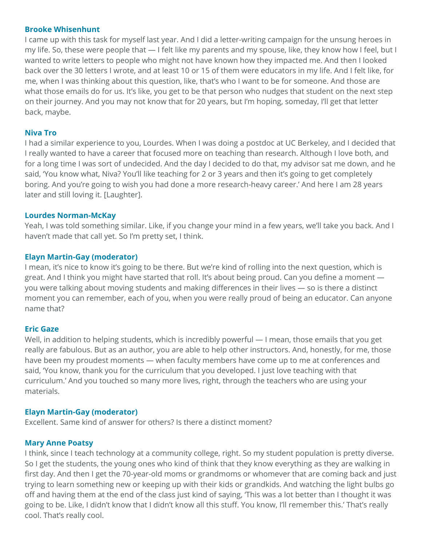#### **Brooke Whisenhunt**

I came up with this task for myself last year. And I did a letter-writing campaign for the unsung heroes in my life. So, these were people that — I felt like my parents and my spouse, like, they know how I feel, but I wanted to write letters to people who might not have known how they impacted me. And then I looked back over the 30 letters I wrote, and at least 10 or 15 of them were educators in my life. And I felt like, for me, when I was thinking about this question, like, that's who I want to be for someone. And those are what those emails do for us. It's like, you get to be that person who nudges that student on the next step on their journey. And you may not know that for 20 years, but I'm hoping, someday, I'll get that letter back, maybe.

# **Niva Tro**

I had a similar experience to you, Lourdes. When I was doing a postdoc at UC Berkeley, and I decided that I really wanted to have a career that focused more on teaching than research. Although I love both, and for a long time I was sort of undecided. And the day I decided to do that, my advisor sat me down, and he said, 'You know what, Niva? You'll like teaching for 2 or 3 years and then it's going to get completely boring. And you're going to wish you had done a more research-heavy career.' And here I am 28 years later and still loving it. [Laughter].

# **Lourdes Norman-McKay**

Yeah, I was told something similar. Like, if you change your mind in a few years, we'll take you back. And I haven't made that call yet. So I'm pretty set, I think.

# **Elayn Martin-Gay (moderator)**

I mean, it's nice to know it's going to be there. But we're kind of rolling into the next question, which is great. And I think you might have started that roll. It's about being proud. Can you define a moment you were talking about moving students and making differences in their lives — so is there a distinct moment you can remember, each of you, when you were really proud of being an educator. Can anyone name that?

# **Eric Gaze**

Well, in addition to helping students, which is incredibly powerful — I mean, those emails that you get really are fabulous. But as an author, you are able to help other instructors. And, honestly, for me, those have been my proudest moments — when faculty members have come up to me at conferences and said, 'You know, thank you for the curriculum that you developed. I just love teaching with that curriculum.' And you touched so many more lives, right, through the teachers who are using your materials.

# **Elayn Martin-Gay (moderator)**

Excellent. Same kind of answer for others? Is there a distinct moment?

# **Mary Anne Poatsy**

I think, since I teach technology at a community college, right. So my student population is pretty diverse. So I get the students, the young ones who kind of think that they know everything as they are walking in first day. And then I get the 70-year-old moms or grandmoms or whomever that are coming back and just trying to learn something new or keeping up with their kids or grandkids. And watching the light bulbs go off and having them at the end of the class just kind of saying, 'This was a lot better than I thought it was going to be. Like, I didn't know that I didn't know all this stuff. You know, I'll remember this.' That's really cool. That's really cool.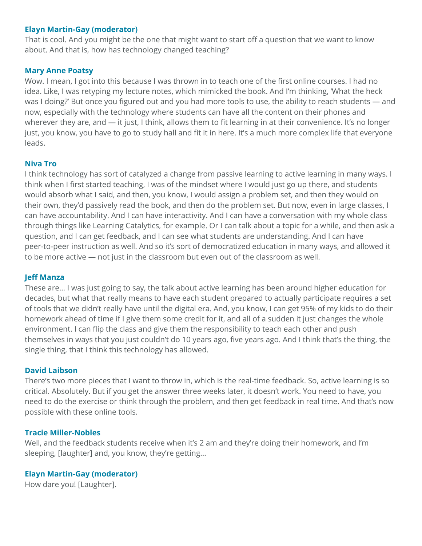That is cool. And you might be the one that might want to start off a question that we want to know about. And that is, how has technology changed teaching?

# **Mary Anne Poatsy**

Wow. I mean, I got into this because I was thrown in to teach one of the first online courses. I had no idea. Like, I was retyping my lecture notes, which mimicked the book. And I'm thinking, 'What the heck was I doing?' But once you figured out and you had more tools to use, the ability to reach students — and now, especially with the technology where students can have all the content on their phones and wherever they are, and — it just, I think, allows them to fit learning in at their convenience. It's no longer just, you know, you have to go to study hall and fit it in here. It's a much more complex life that everyone leads.

# **Niva Tro**

I think technology has sort of catalyzed a change from passive learning to active learning in many ways. I think when I first started teaching, I was of the mindset where I would just go up there, and students would absorb what I said, and then, you know, I would assign a problem set, and then they would on their own, they'd passively read the book, and then do the problem set. But now, even in large classes, I can have accountability. And I can have interactivity. And I can have a conversation with my whole class through things like Learning Catalytics, for example. Or I can talk about a topic for a while, and then ask a question, and I can get feedback, and I can see what students are understanding. And I can have peer-to-peer instruction as well. And so it's sort of democratized education in many ways, and allowed it to be more active — not just in the classroom but even out of the classroom as well.

# **Jeff Manza**

These are… I was just going to say, the talk about active learning has been around higher education for decades, but what that really means to have each student prepared to actually participate requires a set of tools that we didn't really have until the digital era. And, you know, I can get 95% of my kids to do their homework ahead of time if I give them some credit for it, and all of a sudden it just changes the whole environment. I can flip the class and give them the responsibility to teach each other and push themselves in ways that you just couldn't do 10 years ago, five years ago. And I think that's the thing, the single thing, that I think this technology has allowed.

# **David Laibson**

There's two more pieces that I want to throw in, which is the real-time feedback. So, active learning is so critical. Absolutely. But if you get the answer three weeks later, it doesn't work. You need to have, you need to do the exercise or think through the problem, and then get feedback in real time. And that's now possible with these online tools.

# **Tracie Miller-Nobles**

Well, and the feedback students receive when it's 2 am and they're doing their homework, and I'm sleeping, [laughter] and, you know, they're getting...

# **Elayn Martin-Gay (moderator)**

How dare you! [Laughter].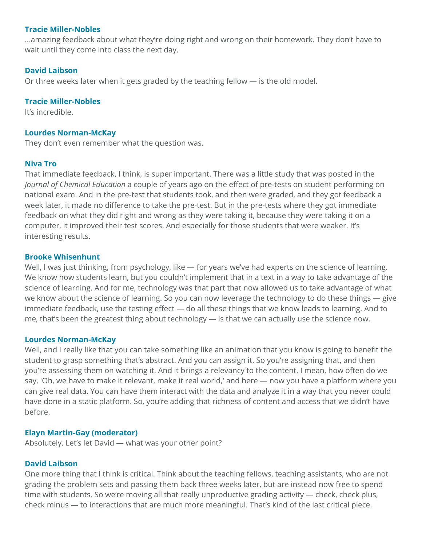#### **Tracie Miller-Nobles**

...amazing feedback about what they're doing right and wrong on their homework. They don't have to wait until they come into class the next day.

# **David Laibson**

Or three weeks later when it gets graded by the teaching fellow — is the old model.

# **Tracie Miller-Nobles**

It's incredible.

# **Lourdes Norman-McKay**

They don't even remember what the question was.

# **Niva Tro**

That immediate feedback, I think, is super important. There was a little study that was posted in the *Journal of Chemical Education* a couple of years ago on the effect of pre-tests on student performing on national exam. And in the pre-test that students took, and then were graded, and they got feedback a week later, it made no difference to take the pre-test. But in the pre-tests where they got immediate feedback on what they did right and wrong as they were taking it, because they were taking it on a computer, it improved their test scores. And especially for those students that were weaker. It's interesting results.

# **Brooke Whisenhunt**

Well, I was just thinking, from psychology, like — for years we've had experts on the science of learning. We know how students learn, but you couldn't implement that in a text in a way to take advantage of the science of learning. And for me, technology was that part that now allowed us to take advantage of what we know about the science of learning. So you can now leverage the technology to do these things — give immediate feedback, use the testing effect — do all these things that we know leads to learning. And to me, that's been the greatest thing about technology — is that we can actually use the science now.

# **Lourdes Norman-McKay**

Well, and I really like that you can take something like an animation that you know is going to benefit the student to grasp something that's abstract. And you can assign it. So you're assigning that, and then you're assessing them on watching it. And it brings a relevancy to the content. I mean, how often do we say, 'Oh, we have to make it relevant, make it real world,' and here — now you have a platform where you can give real data. You can have them interact with the data and analyze it in a way that you never could have done in a static platform. So, you're adding that richness of content and access that we didn't have before.

# **Elayn Martin-Gay (moderator)**

Absolutely. Let's let David — what was your other point?

# **David Laibson**

One more thing that I think is critical. Think about the teaching fellows, teaching assistants, who are not grading the problem sets and passing them back three weeks later, but are instead now free to spend time with students. So we're moving all that really unproductive grading activity — check, check plus, check minus — to interactions that are much more meaningful. That's kind of the last critical piece.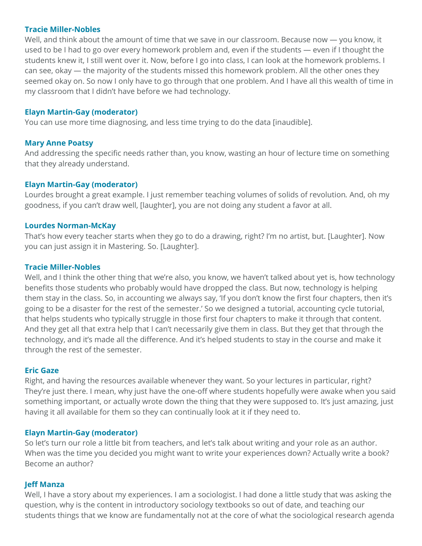#### **Tracie Miller-Nobles**

Well, and think about the amount of time that we save in our classroom. Because now — you know, it used to be I had to go over every homework problem and, even if the students — even if I thought the students knew it, I still went over it. Now, before I go into class, I can look at the homework problems. I can see, okay — the majority of the students missed this homework problem. All the other ones they seemed okay on. So now I only have to go through that one problem. And I have all this wealth of time in my classroom that I didn't have before we had technology.

#### **Elayn Martin-Gay (moderator)**

You can use more time diagnosing, and less time trying to do the data [inaudible].

#### **Mary Anne Poatsy**

And addressing the specific needs rather than, you know, wasting an hour of lecture time on something that they already understand.

# **Elayn Martin-Gay (moderator)**

Lourdes brought a great example. I just remember teaching volumes of solids of revolution*.* And, oh my goodness, if you can't draw well, [laughter], you are not doing any student a favor at all.

#### **Lourdes Norman-McKay**

That's how every teacher starts when they go to do a drawing, right? I'm no artist, but. [Laughter]. Now you can just assign it in Mastering. So. [Laughter].

#### **Tracie Miller-Nobles**

Well, and I think the other thing that we're also, you know, we haven't talked about yet is, how technology benefits those students who probably would have dropped the class. But now, technology is helping them stay in the class. So, in accounting we always say, 'If you don't know the first four chapters, then it's going to be a disaster for the rest of the semester.' So we designed a tutorial, accounting cycle tutorial, that helps students who typically struggle in those first four chapters to make it through that content. And they get all that extra help that I can't necessarily give them in class. But they get that through the technology, and it's made all the difference. And it's helped students to stay in the course and make it through the rest of the semester.

#### **Eric Gaze**

Right, and having the resources available whenever they want. So your lectures in particular, right? They're just there. I mean, why just have the one-off where students hopefully were awake when you said something important, or actually wrote down the thing that they were supposed to. It's just amazing, just having it all available for them so they can continually look at it if they need to.

#### **Elayn Martin-Gay (moderator)**

So let's turn our role a little bit from teachers, and let's talk about writing and your role as an author. When was the time you decided you might want to write your experiences down? Actually write a book? Become an author?

#### **Jeff Manza**

Well, I have a story about my experiences. I am a sociologist. I had done a little study that was asking the question, why is the content in introductory sociology textbooks so out of date, and teaching our students things that we know are fundamentally not at the core of what the sociological research agenda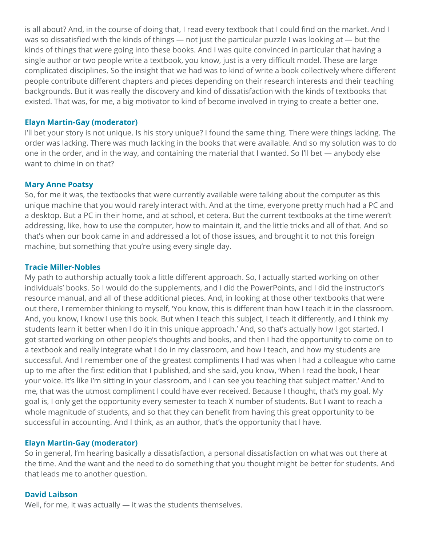is all about? And, in the course of doing that, I read every textbook that I could find on the market. And I was so dissatisfied with the kinds of things — not just the particular puzzle I was looking at — but the kinds of things that were going into these books. And I was quite convinced in particular that having a single author or two people write a textbook, you know, just is a very difficult model. These are large complicated disciplines. So the insight that we had was to kind of write a book collectively where different people contribute different chapters and pieces depending on their research interests and their teaching backgrounds. But it was really the discovery and kind of dissatisfaction with the kinds of textbooks that existed. That was, for me, a big motivator to kind of become involved in trying to create a better one.

# **Elayn Martin-Gay (moderator)**

I'll bet your story is not unique. Is his story unique? I found the same thing. There were things lacking. The order was lacking. There was much lacking in the books that were available. And so my solution was to do one in the order, and in the way, and containing the material that I wanted. So I'll bet — anybody else want to chime in on that?

#### **Mary Anne Poatsy**

So, for me it was, the textbooks that were currently available were talking about the computer as this unique machine that you would rarely interact with. And at the time, everyone pretty much had a PC and a desktop. But a PC in their home, and at school, et cetera. But the current textbooks at the time weren't addressing, like, how to use the computer, how to maintain it, and the little tricks and all of that. And so that's when our book came in and addressed a lot of those issues, and brought it to not this foreign machine, but something that you're using every single day.

#### **Tracie Miller-Nobles**

My path to authorship actually took a little different approach. So, I actually started working on other individuals' books. So I would do the supplements, and I did the PowerPoints, and I did the instructor's resource manual, and all of these additional pieces. And, in looking at those other textbooks that were out there, I remember thinking to myself, 'You know, this is different than how I teach it in the classroom. And, you know, I know I use this book. But when I teach this subject, I teach it differently, and I think my students learn it better when I do it in this unique approach.' And, so that's actually how I got started. I got started working on other people's thoughts and books, and then I had the opportunity to come on to a textbook and really integrate what I do in my classroom, and how I teach, and how my students are successful. And I remember one of the greatest compliments I had was when I had a colleague who came up to me after the first edition that I published, and she said, you know, 'When I read the book, I hear your voice. It's like I'm sitting in your classroom, and I can see you teaching that subject matter.' And to me, that was the utmost compliment I could have ever received. Because I thought, that's my goal. My goal is, I only get the opportunity every semester to teach X number of students. But I want to reach a whole magnitude of students, and so that they can benefit from having this great opportunity to be successful in accounting. And I think, as an author, that's the opportunity that I have.

#### **Elayn Martin-Gay (moderator)**

So in general, I'm hearing basically a dissatisfaction, a personal dissatisfaction on what was out there at the time. And the want and the need to do something that you thought might be better for students. And that leads me to another question.

#### **David Laibson**

Well, for me, it was actually — it was the students themselves.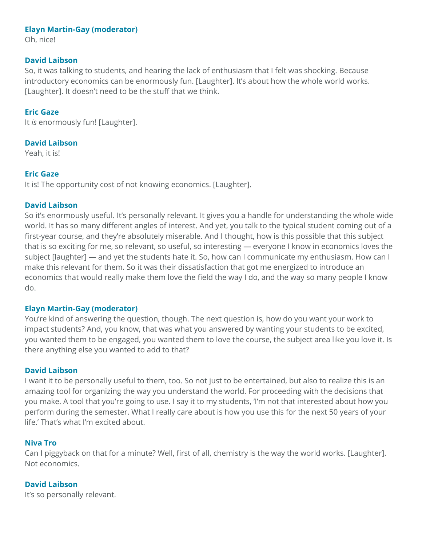Oh, nice!

#### **David Laibson**

So, it was talking to students, and hearing the lack of enthusiasm that I felt was shocking. Because introductory economics can be enormously fun. [Laughter]. It's about how the whole world works. [Laughter]. It doesn't need to be the stuff that we think.

# **Eric Gaze**

It *is* enormously fun! [Laughter].

# **David Laibson**

Yeah, it is!

# **Eric Gaze**

It is! The opportunity cost of not knowing economics. [Laughter].

# **David Laibson**

So it's enormously useful. It's personally relevant. It gives you a handle for understanding the whole wide world. It has so many different angles of interest. And yet, you talk to the typical student coming out of a first-year course, and they're absolutely miserable. And I thought, how is this possible that this subject that is so exciting for me, so relevant, so useful, so interesting — everyone I know in economics loves the subject [laughter] — and yet the students hate it. So, how can I communicate my enthusiasm. How can I make this relevant for them. So it was their dissatisfaction that got me energized to introduce an economics that would really make them love the field the way I do, and the way so many people I know do.

# **Elayn Martin-Gay (moderator)**

You're kind of answering the question, though. The next question is, how do you want your work to impact students? And, you know, that was what you answered by wanting your students to be excited, you wanted them to be engaged, you wanted them to love the course, the subject area like you love it. Is there anything else you wanted to add to that?

# **David Laibson**

I want it to be personally useful to them, too. So not just to be entertained, but also to realize this is an amazing tool for organizing the way you understand the world. For proceeding with the decisions that you make. A tool that you're going to use. I say it to my students, 'I'm not that interested about how you perform during the semester. What I really care about is how you use this for the next 50 years of your life.' That's what I'm excited about.

# **Niva Tro**

Can I piggyback on that for a minute? Well, first of all, chemistry is the way the world works. [Laughter]. Not economics.

# **David Laibson**

It's so personally relevant.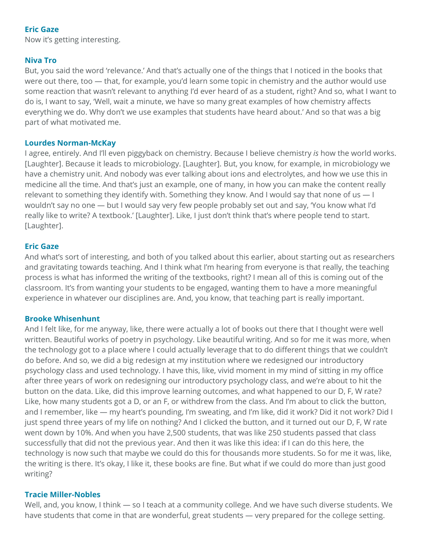# **Eric Gaze**

Now it's getting interesting.

# **Niva Tro**

But, you said the word 'relevance.' And that's actually one of the things that I noticed in the books that were out there, too — that, for example, you'd learn some topic in chemistry and the author would use some reaction that wasn't relevant to anything I'd ever heard of as a student, right? And so, what I want to do is, I want to say, 'Well, wait a minute, we have so many great examples of how chemistry affects everything we do. Why don't we use examples that students have heard about.' And so that was a big part of what motivated me.

# **Lourdes Norman-McKay**

I agree, entirely. And I'll even piggyback on chemistry. Because I believe chemistry *is* how the world works. [Laughter]. Because it leads to microbiology. [Laughter]. But, you know, for example, in microbiology we have a chemistry unit. And nobody was ever talking about ions and electrolytes, and how we use this in medicine all the time. And that's just an example, one of many, in how you can make the content really relevant to something they identify with. Something they know. And I would say that none of us — I wouldn't say no one — but I would say very few people probably set out and say, 'You know what I'd really like to write? A textbook.' [Laughter]. Like, I just don't think that's where people tend to start. [Laughter].

# **Eric Gaze**

And what's sort of interesting, and both of you talked about this earlier, about starting out as researchers and gravitating towards teaching. And I think what I'm hearing from everyone is that really, the teaching process is what has informed the writing of the textbooks, right? I mean all of this is coming out of the classroom. It's from wanting your students to be engaged, wanting them to have a more meaningful experience in whatever our disciplines are. And, you know, that teaching part is really important.

# **Brooke Whisenhunt**

And I felt like, for me anyway, like, there were actually a lot of books out there that I thought were well written. Beautiful works of poetry in psychology. Like beautiful writing. And so for me it was more, when the technology got to a place where I could actually leverage that to do different things that we couldn't do before. And so, we did a big redesign at my institution where we redesigned our introductory psychology class and used technology. I have this, like, vivid moment in my mind of sitting in my office after three years of work on redesigning our introductory psychology class, and we're about to hit the button on the data. Like, did this improve learning outcomes, and what happened to our D, F, W rate? Like, how many students got a D, or an F, or withdrew from the class. And I'm about to click the button, and I remember, like — my heart's pounding, I'm sweating, and I'm like, did it work? Did it not work? Did I just spend three years of my life on nothing? And I clicked the button, and it turned out our D, F, W rate went down by 10%. And when you have 2,500 students, that was like 250 students passed that class successfully that did not the previous year. And then it was like this idea: if I can do this here, the technology is now such that maybe we could do this for thousands more students. So for me it was, like, the writing is there. It's okay, I like it, these books are fine. But what if we could do more than just good writing?

# **Tracie Miller-Nobles**

Well, and, you know, I think — so I teach at a community college. And we have such diverse students. We have students that come in that are wonderful, great students — very prepared for the college setting.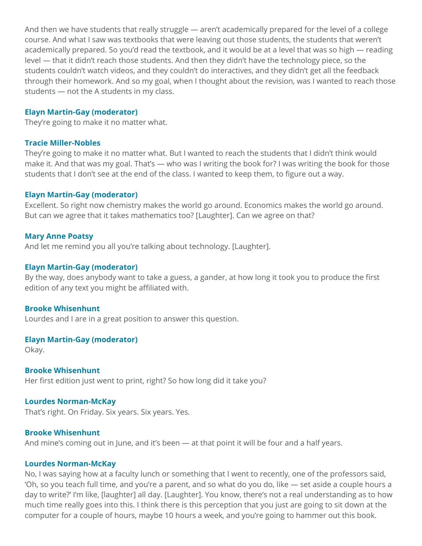And then we have students that really struggle — aren't academically prepared for the level of a college course. And what I saw was textbooks that were leaving out those students, the students that weren't academically prepared. So you'd read the textbook, and it would be at a level that was so high — reading level — that it didn't reach those students. And then they didn't have the technology piece, so the students couldn't watch videos, and they couldn't do interactives, and they didn't get all the feedback through their homework. And so my goal, when I thought about the revision, was I wanted to reach those students — not the A students in my class.

#### **Elayn Martin-Gay (moderator)**

They're going to make it no matter what.

#### **Tracie Miller-Nobles**

They're going to make it no matter what. But I wanted to reach the students that I didn't think would make it. And that was my goal. That's — who was I writing the book for? I was writing the book for those students that I don't see at the end of the class. I wanted to keep them, to figure out a way.

#### **Elayn Martin-Gay (moderator)**

Excellent. So right now chemistry makes the world go around. Economics makes the world go around. But can we agree that it takes mathematics too? [Laughter]. Can we agree on that?

#### **Mary Anne Poatsy**

And let me remind you all you're talking about technology. [Laughter].

#### **Elayn Martin-Gay (moderator)**

By the way, does anybody want to take a guess, a gander, at how long it took you to produce the first edition of any text you might be affiliated with.

#### **Brooke Whisenhunt**

Lourdes and I are in a great position to answer this question.

#### **Elayn Martin-Gay (moderator)**

Okay.

**Brooke Whisenhunt** Her first edition just went to print, right? So how long did it take you?

#### **Lourdes Norman-McKay**

That's right. On Friday. Six years. Six years. Yes.

#### **Brooke Whisenhunt**

And mine's coming out in June, and it's been — at that point it will be four and a half years.

#### **Lourdes Norman-McKay**

No, I was saying how at a faculty lunch or something that I went to recently, one of the professors said, 'Oh, so you teach full time, and you're a parent, and so what do you do, like — set aside a couple hours a day to write?' I'm like, [laughter] all day. [Laughter]. You know, there's not a real understanding as to how much time really goes into this. I think there is this perception that you just are going to sit down at the computer for a couple of hours, maybe 10 hours a week, and you're going to hammer out this book.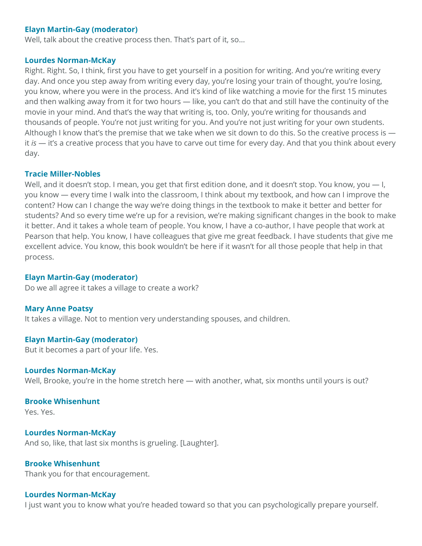Well, talk about the creative process then. That's part of it, so...

#### **Lourdes Norman-McKay**

Right. Right. So, I think, first you have to get yourself in a position for writing. And you're writing every day. And once you step away from writing every day, you're losing your train of thought, you're losing, you know, where you were in the process. And it's kind of like watching a movie for the first 15 minutes and then walking away from it for two hours — like, you can't do that and still have the continuity of the movie in your mind. And that's the way that writing is, too. Only, you're writing for thousands and thousands of people. You're not just writing for you. And you're not just writing for your own students. Although I know that's the premise that we take when we sit down to do this. So the creative process is it *is* — it's a creative process that you have to carve out time for every day. And that you think about every day.

#### **Tracie Miller-Nobles**

Well, and it doesn't stop. I mean, you get that first edition done, and it doesn't stop. You know, you — I, you know — every time I walk into the classroom, I think about my textbook, and how can I improve the content? How can I change the way we're doing things in the textbook to make it better and better for students? And so every time we're up for a revision, we're making significant changes in the book to make it better. And it takes a whole team of people. You know, I have a co-author, I have people that work at Pearson that help. You know, I have colleagues that give me great feedback. I have students that give me excellent advice. You know, this book wouldn't be here if it wasn't for all those people that help in that process.

#### **Elayn Martin-Gay (moderator)**

Do we all agree it takes a village to create a work?

#### **Mary Anne Poatsy**

It takes a village. Not to mention very understanding spouses, and children.

#### **Elayn Martin-Gay (moderator)**

But it becomes a part of your life. Yes.

#### **Lourdes Norman-McKay**

Well, Brooke, you're in the home stretch here — with another, what, six months until yours is out?

#### **Brooke Whisenhunt**

Yes. Yes.

# **Lourdes Norman-McKay** And so, like, that last six months is grueling. [Laughter].

# **Brooke Whisenhunt**

Thank you for that encouragement.

#### **Lourdes Norman-McKay**

I just want you to know what you're headed toward so that you can psychologically prepare yourself.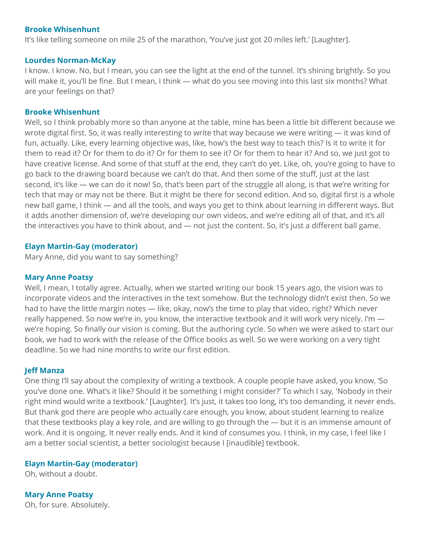#### **Brooke Whisenhunt**

It's like telling someone on mile 25 of the marathon, 'You've just got 20 miles left.' [Laughter].

#### **Lourdes Norman-McKay**

I know. I know. No, but I mean, you can see the light at the end of the tunnel. It's shining brightly. So you will make it, you'll be fine. But I mean, I think — what do you see moving into this last six months? What are your feelings on that?

#### **Brooke Whisenhunt**

Well, so I think probably more so than anyone at the table, mine has been a little bit different because we wrote digital first. So, it was really interesting to write that way because we were writing — it was kind of fun, actually. Like, every learning objective was, like, how's the best way to teach this? Is it to write it for them to read it? Or for them to do it? Or for them to see it? Or for them to hear it? And so, we just got to have creative license. And some of that stuff at the end, they can't do yet. Like, oh, you're going to have to go back to the drawing board because we can't do that. And then some of the stuff, just at the last second, it's like — we can do it now! So, that's been part of the struggle all along, is that we're writing for tech that may or may not be there. But it might be there for second edition. And so, digital first is a whole new ball game, I think — and all the tools, and ways you get to think about learning in different ways. But it adds another dimension of, we're developing our own videos, and we're editing all of that, and it's all the interactives you have to think about, and — not just the content. So, it's just a different ball game.

#### **Elayn Martin-Gay (moderator)**

Mary Anne, did you want to say something?

#### **Mary Anne Poatsy**

Well, I mean, I totally agree. Actually, when we started writing our book 15 years ago, the vision was to incorporate videos and the interactives in the text somehow. But the technology didn't exist then. So we had to have the little margin notes — like, okay, now's the time to play that video, right? Which never really happened. So now we're in, you know, the interactive textbook and it will work very nicely. I'm we're hoping. So finally our vision is coming. But the authoring cycle. So when we were asked to start our book, we had to work with the release of the Office books as well. So we were working on a very tight deadline. So we had nine months to write our first edition.

#### **Jeff Manza**

One thing I'll say about the complexity of writing a textbook. A couple people have asked, you know, 'So you've done one. What's it like? Should it be something I might consider?' To which I say, 'Nobody in their right mind would write a textbook.' [Laughter]. It's just, it takes too long, it's too demanding, it never ends. But thank god there are people who actually care enough, you know, about student learning to realize that these textbooks play a key role, and are willing to go through the — but it is an immense amount of work. And it is ongoing. It never really ends. And it kind of consumes you. I think, in my case, I feel like I am a better social scientist, a better sociologist because I [inaudible] textbook.

#### **Elayn Martin-Gay (moderator)**

Oh, without a doubt.

**Mary Anne Poatsy** Oh, for sure. Absolutely.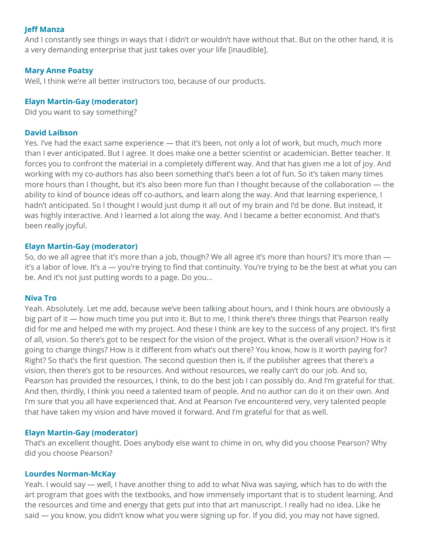# **Jeff Manza**

And I constantly see things in ways that I didn't or wouldn't have without that. But on the other hand, it is a very demanding enterprise that just takes over your life [inaudible].

# **Mary Anne Poatsy**

Well, I think we're all better instructors too, because of our products.

# **Elayn Martin-Gay (moderator)**

Did you want to say something?

# **David Laibson**

Yes. I've had the exact same experience — that it's been, not only a lot of work, but much, much more than I ever anticipated. But I agree. It does make one a better scientist or academician. Better teacher. It forces you to confront the material in a completely different way. And that has given me a lot of joy. And working with my co-authors has also been something that's been a lot of fun. So it's taken many times more hours than I thought, but it's also been more fun than I thought because of the collaboration — the ability to kind of bounce ideas off co-authors, and learn along the way. And that learning experience, I hadn't anticipated. So I thought I would just dump it all out of my brain and I'd be done. But instead, it was highly interactive. And I learned a lot along the way. And I became a better economist. And that's been really joyful.

# **Elayn Martin-Gay (moderator)**

So, do we all agree that it's more than a job, though? We all agree it's more than hours? It's more than it's a labor of love. It's a — you're trying to find that continuity. You're trying to be the best at what you can be. And it's not just putting words to a page. Do you…

# **Niva Tro**

Yeah. Absolutely. Let me add, because we've been talking about hours, and I think hours are obviously a big part of it — how much time you put into it. But to me, I think there's three things that Pearson really did for me and helped me with my project. And these I think are key to the success of any project. It's first of all, vision. So there's got to be respect for the vision of the project. What is the overall vision? How is it going to change things? How is it different from what's out there? You know, how is it worth paying for? Right? So that's the first question. The second question then is, if the publisher agrees that there's a vision, then there's got to be resources. And without resources, we really can't do our job. And so, Pearson has provided the resources, I think, to do the best job I can possibly do. And I'm grateful for that. And then, thirdly, I think you need a talented team of people. And no author can do it on their own. And I'm sure that you all have experienced that. And at Pearson I've encountered very, very talented people that have taken my vision and have moved it forward. And I'm grateful for that as well.

# **Elayn Martin-Gay (moderator)**

That's an excellent thought. Does anybody else want to chime in on, why did you choose Pearson? Why did you choose Pearson?

# **Lourdes Norman-McKay**

Yeah. I would say — well, I have another thing to add to what Niva was saying, which has to do with the art program that goes with the textbooks, and how immensely important that is to student learning. And the resources and time and energy that gets put into that art manuscript. I really had no idea. Like he said — you know, you didn't know what you were signing up for. If you did, you may not have signed.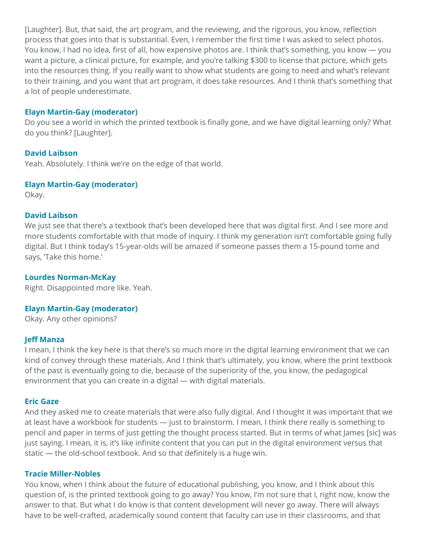[Laughter]. But, that said, the art program, and the reviewing, and the rigorous, you know, reflection process that goes into that is substantial. Even, I remember the first time I was asked to select photos. You know, I had no idea, first of all, how expensive photos are. I think that's something, you know — you want a picture, a clinical picture, for example, and you're talking \$300 to license that picture, which gets into the resources thing. If you really want to show what students are going to need and what's relevant to their training, and you want that art program, it does take resources. And I think that's something that a lot of people underestimate.

#### **Elayn Martin-Gay (moderator)**

Do you see a world in which the printed textbook is finally gone, and we have digital learning only? What do you think? [Laughter].

#### **David Laibson**

Yeah. Absolutely. I think we're on the edge of that world.

#### **Elayn Martin-Gay (moderator)**

Okay.

# **David Laibson**

We just see that there's a textbook that's been developed here that was digital first. And I see more and more students comfortable with that mode of inquiry. I think my generation isn't comfortable going fully digital. But I think today's 15-year-olds will be amazed if someone passes them a 15-pound tome and says, 'Take this home.'

#### **Lourdes Norman-McKay**

Right. Disappointed more like. Yeah.

# **Elayn Martin-Gay (moderator)**

Okay. Any other opinions?

#### **Jeff Manza**

I mean, I think the key here is that there's so much more in the digital learning environment that we can kind of convey through these materials. And I think that's ultimately, you know, where the print textbook of the past is eventually going to die, because of the superiority of the, you know, the pedagogical environment that you can create in a digital — with digital materials.

#### **Eric Gaze**

And they asked me to create materials that were also fully digital. And I thought it was important that we at least have a workbook for students — just to brainstorm. I mean, I think there really is something to pencil and paper in terms of just getting the thought process started. But in terms of what James [sic] was just saying. I mean, it is, it's like infinite content that you can put in the digital environment versus that static — the old-school textbook. And so that definitely is a huge win.

# **Tracie Miller-Nobles**

You know, when I think about the future of educational publishing, you know, and I think about this question of, is the printed textbook going to go away? You know, I'm not sure that I, right now, know the answer to that. But what I do know is that content development will never go away. There will always have to be well-crafted, academically sound content that faculty can use in their classrooms, and that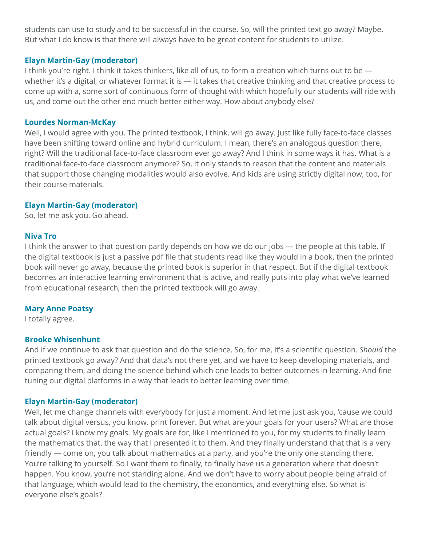students can use to study and to be successful in the course. So, will the printed text go away? Maybe. But what I do know is that there will always have to be great content for students to utilize.

#### **Elayn Martin-Gay (moderator)**

I think you're right. I think it takes thinkers, like all of us, to form a creation which turns out to be whether it's a digital, or whatever format it is  $-$  it takes that creative thinking and that creative process to come up with a, some sort of continuous form of thought with which hopefully our students will ride with us, and come out the other end much better either way. How about anybody else?

#### **Lourdes Norman-McKay**

Well, I would agree with you. The printed textbook, I think, will go away. Just like fully face-to-face classes have been shifting toward online and hybrid curriculum. I mean, there's an analogous question there, right? Will the traditional face-to-face classroom ever go away? And I think in some ways it has. What is a traditional face-to-face classroom anymore? So, it only stands to reason that the content and materials that support those changing modalities would also evolve. And kids are using strictly digital now, too, for their course materials.

# **Elayn Martin-Gay (moderator)**

So, let me ask you. Go ahead.

#### **Niva Tro**

I think the answer to that question partly depends on how we do our jobs — the people at this table. If the digital textbook is just a passive pdf file that students read like they would in a book, then the printed book will never go away, because the printed book is superior in that respect. But if the digital textbook becomes an interactive learning environment that is active, and really puts into play what we've learned from educational research, then the printed textbook will go away.

# **Mary Anne Poatsy**

I totally agree.

#### **Brooke Whisenhunt**

And if we continue to ask that question and do the science. So, for me, it's a scientific question. *Should* the printed textbook go away? And that data's not there yet, and we have to keep developing materials, and comparing them, and doing the science behind which one leads to better outcomes in learning. And fine tuning our digital platforms in a way that leads to better learning over time.

# **Elayn Martin-Gay (moderator)**

Well, let me change channels with everybody for just a moment. And let me just ask you, 'cause we could talk about digital versus, you know, print forever. But what are your goals for your users? What are those actual goals? I know my goals. My goals are for, like I mentioned to you, for my students to finally learn the mathematics that, the way that I presented it to them. And they finally understand that that is a very friendly — come on, you talk about mathematics at a party, and you're the only one standing there. You're talking to yourself. So I want them to finally, to finally have us a generation where that doesn't happen. You know, you're not standing alone. And we don't have to worry about people being afraid of that language, which would lead to the chemistry, the economics, and everything else. So what is everyone else's goals?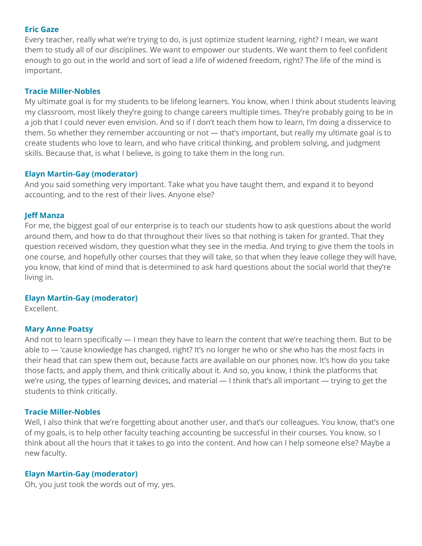#### **Eric Gaze**

Every teacher, really what we're trying to do, is just optimize student learning, right? I mean, we want them to study all of our disciplines. We want to empower our students. We want them to feel confident enough to go out in the world and sort of lead a life of widened freedom, right? The life of the mind is important.

# **Tracie Miller-Nobles**

My ultimate goal is for my students to be lifelong learners. You know, when I think about students leaving my classroom, most likely they're going to change careers multiple times. They're probably going to be in a job that I could never even envision. And so if I don't teach them how to learn, I'm doing a disservice to them. So whether they remember accounting or not — that's important, but really my ultimate goal is to create students who love to learn, and who have critical thinking, and problem solving, and judgment skills. Because that, is what I believe, is going to take them in the long run.

# **Elayn Martin-Gay (moderator)**

And you said something very important. Take what you have taught them, and expand it to beyond accounting, and to the rest of their lives. Anyone else?

# **Jeff Manza**

For me, the biggest goal of our enterprise is to teach our students how to ask questions about the world around them, and how to do that throughout their lives so that nothing is taken for granted. That they question received wisdom, they question what they see in the media. And trying to give them the tools in one course, and hopefully other courses that they will take, so that when they leave college they will have, you know, that kind of mind that is determined to ask hard questions about the social world that they're living in.

# **Elayn Martin-Gay (moderator)**

Excellent.

# **Mary Anne Poatsy**

And not to learn specifically — I mean they have to learn the content that we're teaching them. But to be able to — 'cause knowledge has changed, right? It's no longer he who or she who has the most facts in their head that can spew them out, because facts are available on our phones now. It's how do you take those facts, and apply them, and think critically about it. And so, you know, I think the platforms that we're using, the types of learning devices, and material — I think that's all important — trying to get the students to think critically.

# **Tracie Miller-Nobles**

Well, I also think that we're forgetting about another user, and that's our colleagues. You know, that's one of my goals, is to help other faculty teaching accounting be successful in their courses. You know, so I think about all the hours that it takes to go into the content. And how can I help someone else? Maybe a new faculty.

# **Elayn Martin-Gay (moderator)**

Oh, you just took the words out of my, yes.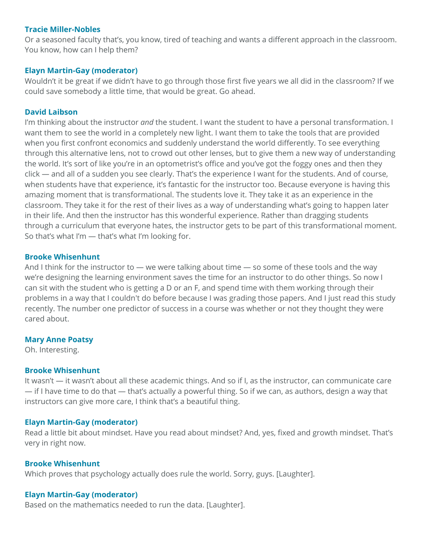#### **Tracie Miller-Nobles**

Or a seasoned faculty that's, you know, tired of teaching and wants a different approach in the classroom. You know, how can I help them?

# **Elayn Martin-Gay (moderator)**

Wouldn't it be great if we didn't have to go through those first five years we all did in the classroom? If we could save somebody a little time, that would be great. Go ahead.

# **David Laibson**

I'm thinking about the instructor *and* the student. I want the student to have a personal transformation. I want them to see the world in a completely new light. I want them to take the tools that are provided when you first confront economics and suddenly understand the world differently. To see everything through this alternative lens, not to crowd out other lenses, but to give them a new way of understanding the world. It's sort of like you're in an optometrist's office and you've got the foggy ones and then they click — and all of a sudden you see clearly. That's the experience I want for the students. And of course, when students have that experience, it's fantastic for the instructor too. Because everyone is having this amazing moment that is transformational. The students love it. They take it as an experience in the classroom. They take it for the rest of their lives as a way of understanding what's going to happen later in their life. And then the instructor has this wonderful experience. Rather than dragging students through a curriculum that everyone hates, the instructor gets to be part of this transformational moment. So that's what I'm — that's what I'm looking for.

# **Brooke Whisenhunt**

And I think for the instructor to — we were talking about time — so some of these tools and the way we're designing the learning environment saves the time for an instructor to do other things. So now I can sit with the student who is getting a D or an F, and spend time with them working through their problems in a way that I couldn't do before because I was grading those papers. And I just read this study recently. The number one predictor of success in a course was whether or not they thought they were cared about.

# **Mary Anne Poatsy**

Oh. Interesting.

# **Brooke Whisenhunt**

It wasn't — it wasn't about all these academic things. And so if I, as the instructor, can communicate care — if I have time to do that — that's actually a powerful thing. So if we can, as authors, design a way that instructors can give more care, I think that's a beautiful thing.

# **Elayn Martin-Gay (moderator)**

Read a little bit about mindset. Have you read about mindset? And, yes, fixed and growth mindset. That's very in right now.

# **Brooke Whisenhunt**

Which proves that psychology actually does rule the world. Sorry, guys. [Laughter].

# **Elayn Martin-Gay (moderator)**

Based on the mathematics needed to run the data. [Laughter].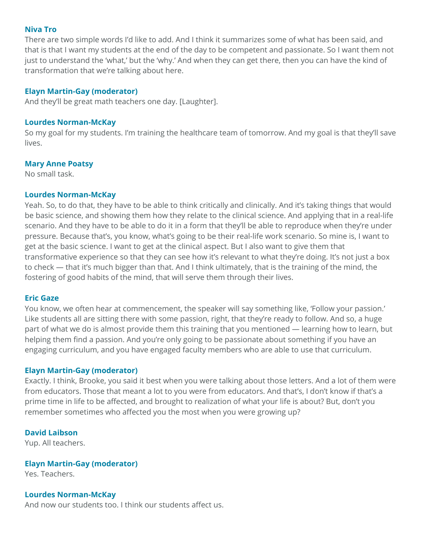#### **Niva Tro**

There are two simple words I'd like to add. And I think it summarizes some of what has been said, and that is that I want my students at the end of the day to be competent and passionate. So I want them not just to understand the 'what,' but the 'why.' And when they can get there, then you can have the kind of transformation that we're talking about here.

# **Elayn Martin-Gay (moderator)**

And they'll be great math teachers one day. [Laughter].

#### **Lourdes Norman-McKay**

So my goal for my students. I'm training the healthcare team of tomorrow. And my goal is that they'll save lives.

#### **Mary Anne Poatsy**

No small task.

#### **Lourdes Norman-McKay**

Yeah. So, to do that, they have to be able to think critically and clinically. And it's taking things that would be basic science, and showing them how they relate to the clinical science. And applying that in a real-life scenario. And they have to be able to do it in a form that they'll be able to reproduce when they're under pressure. Because that's, you know, what's going to be their real-life work scenario. So mine is, I want to get at the basic science. I want to get at the clinical aspect. But I also want to give them that transformative experience so that they can see how it's relevant to what they're doing. It's not just a box to check — that it's much bigger than that. And I think ultimately, that is the training of the mind, the fostering of good habits of the mind, that will serve them through their lives.

#### **Eric Gaze**

You know, we often hear at commencement, the speaker will say something like, 'Follow your passion.' Like students all are sitting there with some passion, right, that they're ready to follow. And so, a huge part of what we do is almost provide them this training that you mentioned — learning how to learn, but helping them find a passion. And you're only going to be passionate about something if you have an engaging curriculum, and you have engaged faculty members who are able to use that curriculum.

#### **Elayn Martin-Gay (moderator)**

Exactly. I think, Brooke, you said it best when you were talking about those letters. And a lot of them were from educators. Those that meant a lot to you were from educators. And that's, I don't know if that's a prime time in life to be affected, and brought to realization of what your life is about? But, don't you remember sometimes who affected you the most when you were growing up?

# **David Laibson**

Yup. All teachers.

#### **Elayn Martin-Gay (moderator)**

Yes. Teachers.

# **Lourdes Norman-McKay**

And now our students too. I think our students affect us.